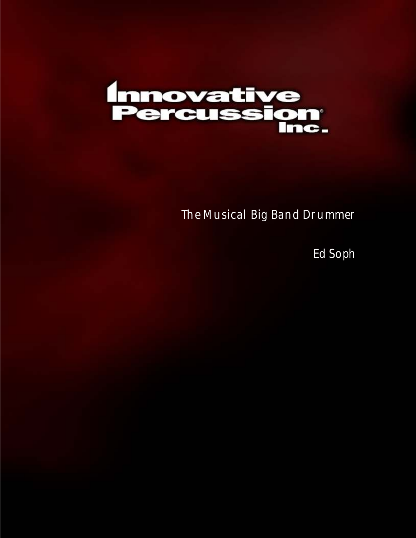

## The Musical Big Band Drummer

Ed Soph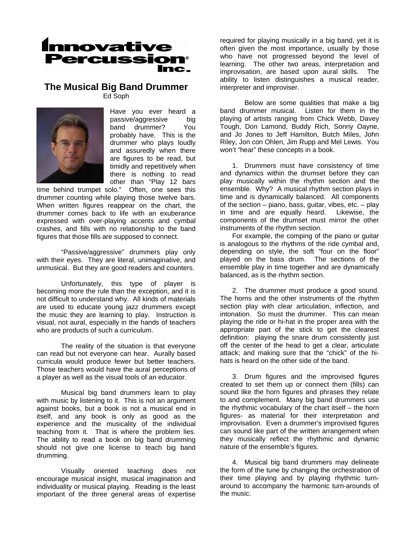

## **The Musical Big Band Drummer**

Ed Soph



Have you ever heard a passive/aggressive big band drummer? You probably have. This is the drummer who plays loudly and assuredly when there are figures to be read, but timidly and repetitively when there is nothing to read other than "Play 12 bars

time behind trumpet solo." Often, one sees this drummer counting while playing those twelve bars. When written figures reappear on the chart, the drummer comes back to life with an exuberance expressed with over-playing accents and cymbal crashes, and fills with no relationship to the band figures that those fills are supposed to connect.

"Passive/aggressive" drummers play only with their eyes. They are literal, unimaginative, and unmusical. But they are good readers and counters.

 Unfortunately, this type of player is becoming more the rule than the exception, and it is not difficult to understand why. All kinds of materials are used to educate young jazz drummers except the music they are learning to play. Instruction is visual, not aural, especially in the hands of teachers who are products of such a curriculum.

 The reality of the situation is that everyone can read but not everyone can hear. Aurally based curricula would produce fewer but better teachers. Those teachers would have the aural perceptions of a player as well as the visual tools of an educator.

 Musical big band drummers learn to play with music by listening to it. This is not an argument against books, but a book is not a musical end in itself, and any book is only as good as the experience and the musicality of the individual teaching from it. That is where the problem lies. The ability to read a book on big band drumming should not give one license to teach big band drumming.

 Visually oriented teaching does not encourage musical insight, musical imagination and individuality or musical playing. Reading is the least important of the three general areas of expertise

required for playing musically in a big band, yet it is often given the most importance, usually by those who have not progressed beyond the level of learning. The other two areas, interpretation and improvisation, are based upon aural skills. The ability to listen distinguishes a musical reader, interpreter and improviser.

 Below are some qualities that make a big band drummer musical. Listen for them in the playing of artists ranging from Chick Webb, Davey Tough, Don Lamond, Buddy Rich, Sonny Oayne, and Jo Jones to Jeff Hamilton, Butch Miles, John Riley, Jon con Ohlen, Jim Rupp and Mel Lewis. You won't "hear" these concepts in a book.

1. Drummers must have consistency of time and dynamics within the drumset before they can play musically within the rhythm section and the ensemble. Why? A musical rhythm section plays in time and is dynamically balanced. All components of the section  $-$  piano, bass, guitar, vibes, etc.  $-$  play in time and are equally heard. Likewise, the components of the drumset must mirror the other instruments of the rhythm section.

For example, the comping of the piano or guitar is analogous to the rhythms of the ride cymbal and, depending on style, the soft "four on the floor" played on the bass drum. The sections of the ensemble play in time together and are dynamically balanced, as is the rhythm section.

2. The drummer must produce a good sound. The horns and the other instruments of the rhythm section play with clear articulation, inflection, and intonation. So must the drummer. This can mean playing the ride or hi-hat in the proper area with the appropriate part of the stick to get the clearest definition: playing the snare drum consistently just off the center of the head to get a clear, articulate attack; and making sure that the "chick" of the hihats is heard on the other side of the band.

3. Drum figures and the improvised figures created to set them up or connect them (fills) can sound like the horn figures and phrases they relate to and complement. Many big band drummers use the rhythmic vocabulary of the chart itself – the horn figures- as material for their interpretation and improvisation. Even a drummer's improvised figures can sound like part of the written arrangement when they musically reflect the rhythmic and dynamic nature of the ensemble's figures.

4. Musical big band drummers may delineate the form of the tune by changing the orchestration of their time playing and by playing rhythmic turnaround to accompany the harmonic turn-arounds of the music.